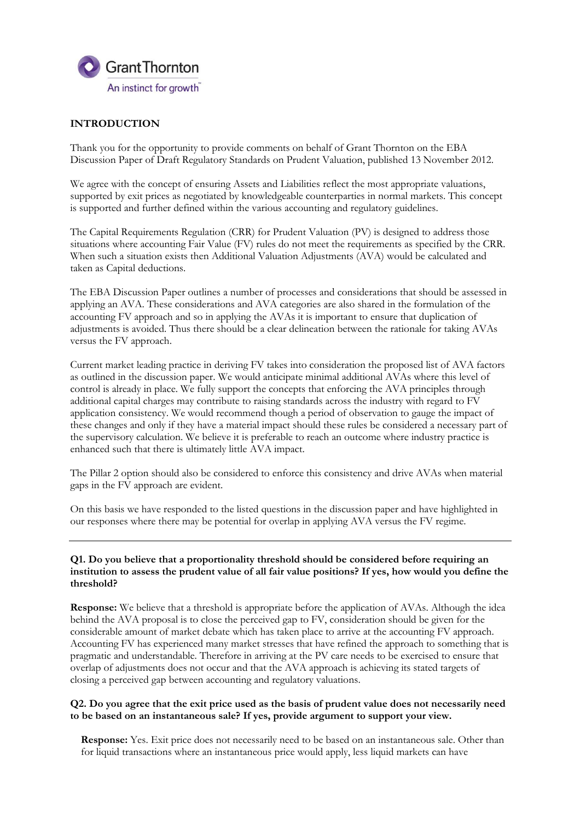

# **INTRODUCTION**

Thank you for the opportunity to provide comments on behalf of Grant Thornton on the EBA Discussion Paper of Draft Regulatory Standards on Prudent Valuation, published 13 November 2012.

We agree with the concept of ensuring Assets and Liabilities reflect the most appropriate valuations, supported by exit prices as negotiated by knowledgeable counterparties in normal markets. This concept is supported and further defined within the various accounting and regulatory guidelines.

The Capital Requirements Regulation (CRR) for Prudent Valuation (PV) is designed to address those situations where accounting Fair Value (FV) rules do not meet the requirements as specified by the CRR. When such a situation exists then Additional Valuation Adjustments (AVA) would be calculated and taken as Capital deductions.

The EBA Discussion Paper outlines a number of processes and considerations that should be assessed in applying an AVA. These considerations and AVA categories are also shared in the formulation of the accounting FV approach and so in applying the AVAs it is important to ensure that duplication of adjustments is avoided. Thus there should be a clear delineation between the rationale for taking AVAs versus the FV approach.

Current market leading practice in deriving FV takes into consideration the proposed list of AVA factors as outlined in the discussion paper. We would anticipate minimal additional AVAs where this level of control is already in place. We fully support the concepts that enforcing the AVA principles through additional capital charges may contribute to raising standards across the industry with regard to FV application consistency. We would recommend though a period of observation to gauge the impact of these changes and only if they have a material impact should these rules be considered a necessary part of the supervisory calculation. We believe it is preferable to reach an outcome where industry practice is enhanced such that there is ultimately little AVA impact.

The Pillar 2 option should also be considered to enforce this consistency and drive AVAs when material gaps in the FV approach are evident.

On this basis we have responded to the listed questions in the discussion paper and have highlighted in our responses where there may be potential for overlap in applying AVA versus the FV regime.

#### **Q1. Do you believe that a proportionality threshold should be considered before requiring an institution to assess the prudent value of all fair value positions? If yes, how would you define the threshold?**

**Response:** We believe that a threshold is appropriate before the application of AVAs. Although the idea behind the AVA proposal is to close the perceived gap to FV, consideration should be given for the considerable amount of market debate which has taken place to arrive at the accounting FV approach. Accounting FV has experienced many market stresses that have refined the approach to something that is pragmatic and understandable. Therefore in arriving at the PV care needs to be exercised to ensure that overlap of adjustments does not occur and that the AVA approach is achieving its stated targets of closing a perceived gap between accounting and regulatory valuations.

### **Q2. Do you agree that the exit price used as the basis of prudent value does not necessarily need to be based on an instantaneous sale? If yes, provide argument to support your view.**

**Response:** Yes. Exit price does not necessarily need to be based on an instantaneous sale. Other than for liquid transactions where an instantaneous price would apply, less liquid markets can have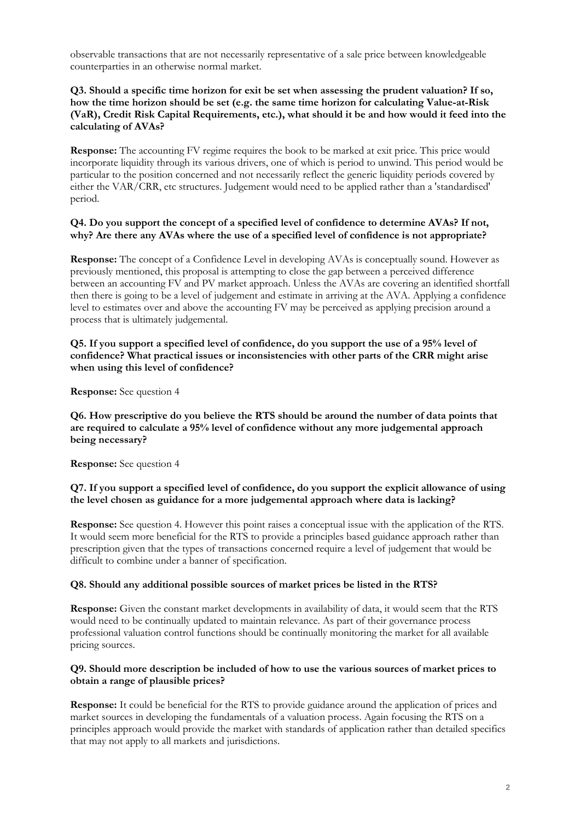observable transactions that are not necessarily representative of a sale price between knowledgeable counterparties in an otherwise normal market.

## **Q3. Should a specific time horizon for exit be set when assessing the prudent valuation? If so, how the time horizon should be set (e.g. the same time horizon for calculating Value-at-Risk (VaR), Credit Risk Capital Requirements, etc.), what should it be and how would it feed into the calculating of AVAs?**

**Response:** The accounting FV regime requires the book to be marked at exit price. This price would incorporate liquidity through its various drivers, one of which is period to unwind. This period would be particular to the position concerned and not necessarily reflect the generic liquidity periods covered by either the VAR/CRR, etc structures. Judgement would need to be applied rather than a 'standardised' period.

#### **Q4. Do you support the concept of a specified level of confidence to determine AVAs? If not, why? Are there any AVAs where the use of a specified level of confidence is not appropriate?**

**Response:** The concept of a Confidence Level in developing AVAs is conceptually sound. However as previously mentioned, this proposal is attempting to close the gap between a perceived difference between an accounting FV and PV market approach. Unless the AVAs are covering an identified shortfall then there is going to be a level of judgement and estimate in arriving at the AVA. Applying a confidence level to estimates over and above the accounting FV may be perceived as applying precision around a process that is ultimately judgemental.

### **Q5. If you support a specified level of confidence, do you support the use of a 95% level of confidence? What practical issues or inconsistencies with other parts of the CRR might arise when using this level of confidence?**

**Response:** See question 4

**Q6. How prescriptive do you believe the RTS should be around the number of data points that are required to calculate a 95% level of confidence without any more judgemental approach being necessary?** 

**Response:** See question 4

### **Q7. If you support a specified level of confidence, do you support the explicit allowance of using the level chosen as guidance for a more judgemental approach where data is lacking?**

**Response:** See question 4. However this point raises a conceptual issue with the application of the RTS. It would seem more beneficial for the RTS to provide a principles based guidance approach rather than prescription given that the types of transactions concerned require a level of judgement that would be difficult to combine under a banner of specification.

### **Q8. Should any additional possible sources of market prices be listed in the RTS?**

**Response:** Given the constant market developments in availability of data, it would seem that the RTS would need to be continually updated to maintain relevance. As part of their governance process professional valuation control functions should be continually monitoring the market for all available pricing sources.

### **Q9. Should more description be included of how to use the various sources of market prices to obtain a range of plausible prices?**

**Response:** It could be beneficial for the RTS to provide guidance around the application of prices and market sources in developing the fundamentals of a valuation process. Again focusing the RTS on a principles approach would provide the market with standards of application rather than detailed specifics that may not apply to all markets and jurisdictions.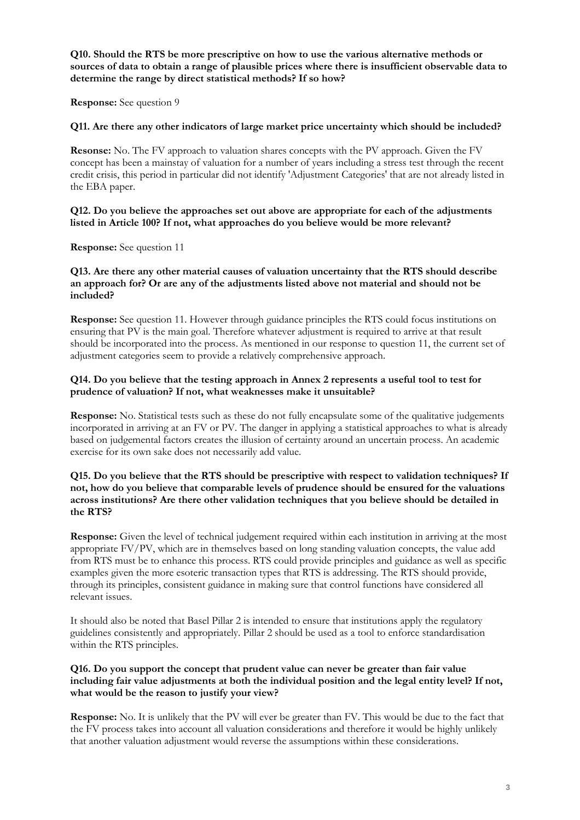**Q10. Should the RTS be more prescriptive on how to use the various alternative methods or sources of data to obtain a range of plausible prices where there is insufficient observable data to determine the range by direct statistical methods? If so how?** 

**Response:** See question 9

### **Q11. Are there any other indicators of large market price uncertainty which should be included?**

**Resonse:** No. The FV approach to valuation shares concepts with the PV approach. Given the FV concept has been a mainstay of valuation for a number of years including a stress test through the recent credit crisis, this period in particular did not identify 'Adjustment Categories' that are not already listed in the EBA paper.

## **Q12. Do you believe the approaches set out above are appropriate for each of the adjustments listed in Article 100? If not, what approaches do you believe would be more relevant?**

**Response:** See question 11

#### **Q13. Are there any other material causes of valuation uncertainty that the RTS should describe an approach for? Or are any of the adjustments listed above not material and should not be included?**

**Response:** See question 11. However through guidance principles the RTS could focus institutions on ensuring that PV is the main goal. Therefore whatever adjustment is required to arrive at that result should be incorporated into the process. As mentioned in our response to question 11, the current set of adjustment categories seem to provide a relatively comprehensive approach.

## **Q14. Do you believe that the testing approach in Annex 2 represents a useful tool to test for prudence of valuation? If not, what weaknesses make it unsuitable?**

**Response:** No. Statistical tests such as these do not fully encapsulate some of the qualitative judgements incorporated in arriving at an FV or PV. The danger in applying a statistical approaches to what is already based on judgemental factors creates the illusion of certainty around an uncertain process. An academic exercise for its own sake does not necessarily add value.

### **Q15. Do you believe that the RTS should be prescriptive with respect to validation techniques? If not, how do you believe that comparable levels of prudence should be ensured for the valuations across institutions? Are there other validation techniques that you believe should be detailed in the RTS?**

**Response:** Given the level of technical judgement required within each institution in arriving at the most appropriate FV/PV, which are in themselves based on long standing valuation concepts, the value add from RTS must be to enhance this process. RTS could provide principles and guidance as well as specific examples given the more esoteric transaction types that RTS is addressing. The RTS should provide, through its principles, consistent guidance in making sure that control functions have considered all relevant issues.

It should also be noted that Basel Pillar 2 is intended to ensure that institutions apply the regulatory guidelines consistently and appropriately. Pillar 2 should be used as a tool to enforce standardisation within the RTS principles.

## **Q16. Do you support the concept that prudent value can never be greater than fair value including fair value adjustments at both the individual position and the legal entity level? If not, what would be the reason to justify your view?**

**Response:** No. It is unlikely that the PV will ever be greater than FV. This would be due to the fact that the FV process takes into account all valuation considerations and therefore it would be highly unlikely that another valuation adjustment would reverse the assumptions within these considerations.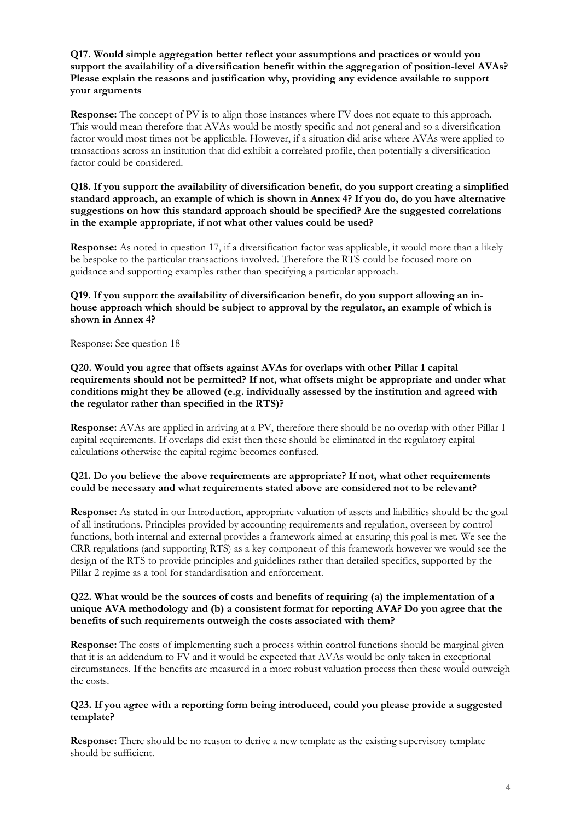## **Q17. Would simple aggregation better reflect your assumptions and practices or would you support the availability of a diversification benefit within the aggregation of position-level AVAs? Please explain the reasons and justification why, providing any evidence available to support your arguments**

**Response:** The concept of PV is to align those instances where FV does not equate to this approach. This would mean therefore that AVAs would be mostly specific and not general and so a diversification factor would most times not be applicable. However, if a situation did arise where AVAs were applied to transactions across an institution that did exhibit a correlated profile, then potentially a diversification factor could be considered.

## **Q18. If you support the availability of diversification benefit, do you support creating a simplified standard approach, an example of which is shown in Annex 4? If you do, do you have alternative suggestions on how this standard approach should be specified? Are the suggested correlations in the example appropriate, if not what other values could be used?**

**Response:** As noted in question 17, if a diversification factor was applicable, it would more than a likely be bespoke to the particular transactions involved. Therefore the RTS could be focused more on guidance and supporting examples rather than specifying a particular approach.

## **Q19. If you support the availability of diversification benefit, do you support allowing an inhouse approach which should be subject to approval by the regulator, an example of which is shown in Annex 4?**

Response: See question 18

## **Q20. Would you agree that offsets against AVAs for overlaps with other Pillar 1 capital requirements should not be permitted? If not, what offsets might be appropriate and under what conditions might they be allowed (e.g. individually assessed by the institution and agreed with the regulator rather than specified in the RTS)?**

**Response:** AVAs are applied in arriving at a PV, therefore there should be no overlap with other Pillar 1 capital requirements. If overlaps did exist then these should be eliminated in the regulatory capital calculations otherwise the capital regime becomes confused.

## **Q21. Do you believe the above requirements are appropriate? If not, what other requirements could be necessary and what requirements stated above are considered not to be relevant?**

**Response:** As stated in our Introduction, appropriate valuation of assets and liabilities should be the goal of all institutions. Principles provided by accounting requirements and regulation, overseen by control functions, both internal and external provides a framework aimed at ensuring this goal is met. We see the CRR regulations (and supporting RTS) as a key component of this framework however we would see the design of the RTS to provide principles and guidelines rather than detailed specifics, supported by the Pillar 2 regime as a tool for standardisation and enforcement.

## **Q22. What would be the sources of costs and benefits of requiring (a) the implementation of a unique AVA methodology and (b) a consistent format for reporting AVA? Do you agree that the benefits of such requirements outweigh the costs associated with them?**

**Response:** The costs of implementing such a process within control functions should be marginal given that it is an addendum to FV and it would be expected that AVAs would be only taken in exceptional circumstances. If the benefits are measured in a more robust valuation process then these would outweigh the costs.

## **Q23. If you agree with a reporting form being introduced, could you please provide a suggested template?**

**Response:** There should be no reason to derive a new template as the existing supervisory template should be sufficient.